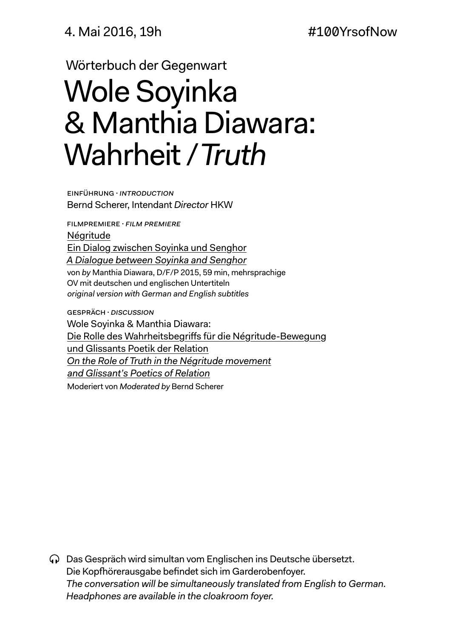4. Mai 2016, 19h #100YrsofNow

Wörterbuch der Gegenwart

# Wole Soyinka & Manthia Diawara: Wahrheit / *Truth*

Einführung·*Introduction* Bernd Scherer, Intendant *Director* HKW

Filmpremiere·*Film premiere* Négritude Ein Dialog zwischen Soyinka und Senghor *A Dialogue between Soyinka and Senghor* von *by* Manthia Diawara, D/F/P 2015, 59 min, mehrsprachige OV mit deutschen und englischen Untertiteln *original version with German and English subtitles*

Gespräch·*Discussion* Wole Soyinka & Manthia Diawara: Die Rolle des Wahrheitsbegriffs für die Négritude-Bewegung und Glissants Poetik der Relation *On the Role of Truth in the Négritude movement and Glissant's Poetics of Relation* Moderiert von *Moderated by* Bernd Scherer

Das Gespräch wird simultan vom Englischen ins Deutsche übersetzt. Die Kopfhörerausgabe befindet sich im Garderobenfoyer. *The conversation will be simultaneously translated from English to German. Headphones are available in the cloakroom foyer.*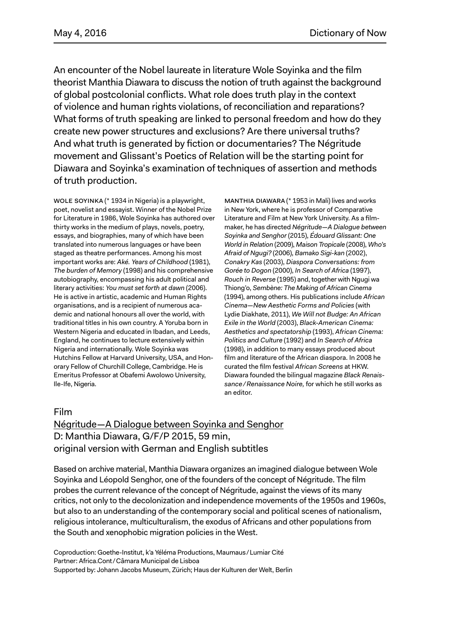An encounter of the Nobel laureate in literature Wole Soyinka and the film theorist Manthia Diawara to discuss the notion of truth against the background of global postcolonial conflicts. What role does truth play in the context of violence and human rights violations, of reconciliation and reparations? What forms of truth speaking are linked to personal freedom and how do they create new power structures and exclusions? Are there universal truths? And what truth is generated by fiction or documentaries? The Négritude movement and Glissant's Poetics of Relation will be the starting point for Diawara and Soyinka's examination of techniques of assertion and methods of truth production.

Wole Soyinka (\* 1934 in Nigeria) is a playwright, poet, novelist and essayist. Winner of the Nobel Prize for Literature in 1986, Wole Soyinka has authored over thirty works in the medium of plays, novels, poetry, essays, and biographies, many of which have been translated into numerous languages or have been staged as theatre performances. Among his most important works are: *Aké. Years of Childhood* (1981), *The burden of Memory* (1998) and his comprehensive autobiography, encompassing his adult political and literary activities: *You must set forth at dawn* (2006). He is active in artistic, academic and Human Rights organisations, and is a recipient of numerous academic and national honours all over the world, with traditional titles in his own country. A Yoruba born in Western Nigeria and educated in Ibadan, and Leeds, England, he continues to lecture extensively within Nigeria and internationally. Wole Soyinka was Hutchins Fellow at Harvard University, USA, and Honorary Fellow of Churchill College, Cambridge. He is Emeritus Professor at Obafemi Awolowo University, Ile-Ife, Nigeria.

Manthia Diawara (\* 1953 in Mali) lives and works in New York, where he is professor of Comparative Literature and Film at New York University. As a filmmaker, he has directed *Négritude*—*A Dialogue between Soyinka and Senghor* (2015), *Édouard Glissant: One World in Relation* (2009), *Maison Tropicale* (2008), *Who's Afraid of Ngugi?* (2006), *Bamako Sigi-kan* (2002), *Conakry Kas* (2003), *Diaspora Conversations: from Gorée to Dogon* (2000), *In Search of Africa* (1997), *Rouch in Reverse* (1995) and, together with Ngugi wa Thiong'o, *Sembène: The Making of African Cinema* (1994), among others. His publications include *African Cinema*—*New Aesthetic Forms and Policies* (with Lydie Diakhate, 2011), *We Will not Budge: An African Exile in the World* (2003), *Black-American Cinema: Aesthetics and spectatorship* (1993), *African Cinema: Politics and Culture* (1992) and *In Search of Africa* (1998), in addition to many essays produced about film and literature of the African diaspora. In 2008 he curated the film festival *African Screens* at HKW. Diawara founded the bilingual magazine *Black Renaissance/Renaissance Noire,* for which he still works as an editor.

### Film

## Négritude—A Dialogue between Soyinka and Senghor D: Manthia Diawara, G/F/P 2015, 59 min, original version with German and English subtitles

Based on archive material, Manthia Diawara organizes an imagined dialogue between Wole Soyinka and Léopold Senghor, one of the founders of the concept of Négritude. The film probes the current relevance of the concept of Négritude, against the views of its many critics, not only to the decolonization and independence movements of the 1950s and 1960s, but also to an understanding of the contemporary social and political scenes of nationalism, religious intolerance, multiculturalism, the exodus of Africans and other populations from the South and xenophobic migration policies in the West.

Coproduction: Goethe-Institut, k'a Yéléma Productions, Maumaus/Lumiar Cité Partner: Africa.Cont/Câmara Municipal de Lisboa Supported by: Johann Jacobs Museum, Zürich; Haus der Kulturen der Welt, Berlin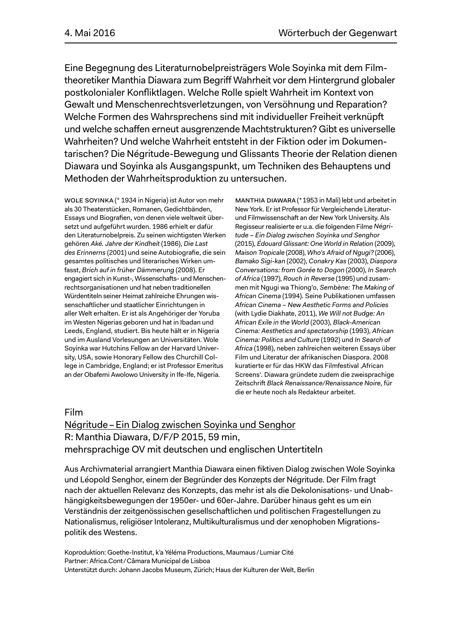Eine Begegnung des Literaturnobelpreisträgers Wole Soyinka mit dem Filmtheoretiker Manthia Diawara zum Begriff Wahrheit vor dem Hintergrund globaler postkolonialer Konfliktlagen. Welche Rolle spielt Wahrheit im Kontext von Gewalt und Menschenrechtsverletzungen, von Versöhnung und Reparation? Welche Formen des Wahrsprechens sind mit individueller Freiheit verknüpft und welche schaffen erneut ausgrenzende Machtstrukturen? Gibt es universelle Wahrheiten? Und welche Wahrheit entsteht in der Fiktion oder im Dokumentarischen? Die Négritude-Bewegung und Glissants Theorie der Relation dienen Diawara und Soyinka als Ausgangspunkt, um Techniken des Behauptens und Methoden der Wahrheitsproduktion zu untersuchen.

Wole Soyinka (\* 1934 in Nigeria) ist Autor von mehr als 30 Theaterstücken, Romanen, Gedichtbänden, Essays und Biografien, von denen viele weltweit übersetzt und aufgeführt wurden. 1986 erhielt er dafür den Literaturnobelpreis. Zu seinen wichtigsten Werken gehören *Aké. Jahre der Kindheit* (1986), *Die Last des Erinnerns* (2001) und seine Autobiografie, die sein gesamtes politisches und literarisches Wirken umfasst, *Brich auf in früher Dämmerung* (2008). Er engagiert sich in Kunst-, Wissenschafts- und Menschenrechtsorganisationen und hat neben traditionellen Würdentiteln seiner Heimat zahlreiche Ehrungen wissenschaftlicher und staatlicher Einrichtungen in aller Welt erhalten. Er ist als Angehöriger der Yoruba im Westen Nigerias geboren und hat in Ibadan und Leeds, England, studiert. Bis heute hält er in Nigeria und im Ausland Vorlesungen an Universitäten. Wole Soyinka war Hutchins Fellow an der Harvard University, USA, sowie Honorary Fellow des Churchill College in Cambridge, England; er ist Professor Emeritus an der Obafemi Awolowo University in Ife-Ife, Nigeria.

Manthia Diawara (\*1953 in Mali) lebt und arbeitet in New York. Er ist Professor für Vergleichende Literaturund Filmwissenschaft an der New York University. Als Regisseur realisierte er u.a. die folgenden Filme *Négritude – Ein Dialog zwischen Soyinka und Senghor*  (2015), *Édouard Glissant: One World in Relation* (2009), *Maison Tropicale* (2008), *Who's Afraid of Ngugi?* (2006), *Bamako Sigi-kan* (2002), *Conakry Kas* (2003), *Diaspora Conversations: from Gorée to Dogon* (2000), *In Search of Africa* (1997), *Rouch in Reverse* (1995) und zusammen mit Ngugi wa Thiong'o, *Sembène: The Making of African Cinema* (1994). Seine Publikationen umfassen *African Cinema – New Aesthetic Forms and Policies* (with Lydie Diakhate, 2011), *We Will not Budge: An African Exile in the World* (2003), *Black-American Cinema: Aesthetics and spectatorship* (1993), *African Cinema: Politics and Culture* (1992) und *In Search of Africa* (1998), neben zahlreichen weiteren Essays über Film und Literatur der afrikanischen Diaspora. 2008 kuratierte er für das HKW das Filmfestival ,African Screens'. Diawara gründete zudem die zweisprachige Zeitschrift *Black Renaissance/Renaissance Noire,* für die er heute noch als Redakteur arbeitet.

### Film

## Négritude–Ein Dialog zwischen Soyinka und Senghor R: Manthia Diawara, D/F/P 2015, 59 min, mehrsprachige OV mit deutschen und englischen Untertiteln

Aus Archivmaterial arrangiert Manthia Diawara einen fiktiven Dialog zwischen Wole Soyinka und Léopold Senghor, einem der Begründer des Konzepts der Négritude. Der Film fragt nach der aktuellen Relevanz des Konzepts, das mehr ist als die Dekolonisations- und Unabhängigkeitsbewegungen der 1950er- und 60er-Jahre. Darüber hinaus geht es um ein Verständnis der zeitgenössischen gesellschaftlichen und politischen Fragestellungen zu Nationalismus, religiöser Intoleranz, Multikulturalismus und der xenophoben Migrationspolitik des Westens.

Koproduktion: Goethe-Institut, k'a Yéléma Productions, Maumaus/Lumiar Cité Partner: Africa.Cont/Câmara Municipal de Lisboa Unterstützt durch: Johann Jacobs Museum, Zürich; Haus der Kulturen der Welt, Berlin